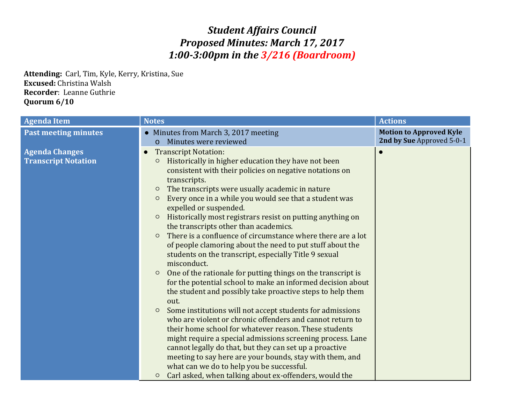## *Student Affairs Council Proposed Minutes: March 17, 2017 1:00-3:00pm in the 3/216 (Boardroom)*

**Attending:** Carl, Tim, Kyle, Kerry, Kristina, Sue **Excused:** Christina Walsh **Recorder**: Leanne Guthrie **Quorum 6/10**

| <b>Agenda Item</b>                                  | <b>Notes</b>                                                                                                                                                                                                                                                                                                                                                                                                                                                                                                                                                                                                                                                                                                                                                                                                                                                                                                                                                                                                                                                                                                                                                                                                                                                                                                                        | <b>Actions</b>                                              |
|-----------------------------------------------------|-------------------------------------------------------------------------------------------------------------------------------------------------------------------------------------------------------------------------------------------------------------------------------------------------------------------------------------------------------------------------------------------------------------------------------------------------------------------------------------------------------------------------------------------------------------------------------------------------------------------------------------------------------------------------------------------------------------------------------------------------------------------------------------------------------------------------------------------------------------------------------------------------------------------------------------------------------------------------------------------------------------------------------------------------------------------------------------------------------------------------------------------------------------------------------------------------------------------------------------------------------------------------------------------------------------------------------------|-------------------------------------------------------------|
| <b>Past meeting minutes</b>                         | • Minutes from March 3, 2017 meeting<br>Minutes were reviewed<br>$\Omega$                                                                                                                                                                                                                                                                                                                                                                                                                                                                                                                                                                                                                                                                                                                                                                                                                                                                                                                                                                                                                                                                                                                                                                                                                                                           | <b>Motion to Approved Kyle</b><br>2nd by Sue Approved 5-0-1 |
| <b>Agenda Changes</b><br><b>Transcript Notation</b> | <b>Transcript Notation:</b><br>$\bullet$<br>Historically in higher education they have not been<br>$\circ$<br>consistent with their policies on negative notations on<br>transcripts.<br>The transcripts were usually academic in nature<br>$\circ$<br>Every once in a while you would see that a student was<br>$\circ$<br>expelled or suspended.<br>Historically most registrars resist on putting anything on<br>$\circ$<br>the transcripts other than academics.<br>There is a confluence of circumstance where there are a lot<br>$\circ$<br>of people clamoring about the need to put stuff about the<br>students on the transcript, especially Title 9 sexual<br>misconduct.<br>One of the rationale for putting things on the transcript is<br>$\circ$<br>for the potential school to make an informed decision about<br>the student and possibly take proactive steps to help them<br>out.<br>Some institutions will not accept students for admissions<br>$\circ$<br>who are violent or chronic offenders and cannot return to<br>their home school for whatever reason. These students<br>might require a special admissions screening process. Lane<br>cannot legally do that, but they can set up a proactive<br>meeting to say here are your bounds, stay with them, and<br>what can we do to help you be successful. |                                                             |
|                                                     | Carl asked, when talking about ex-offenders, would the<br>$\circ$                                                                                                                                                                                                                                                                                                                                                                                                                                                                                                                                                                                                                                                                                                                                                                                                                                                                                                                                                                                                                                                                                                                                                                                                                                                                   |                                                             |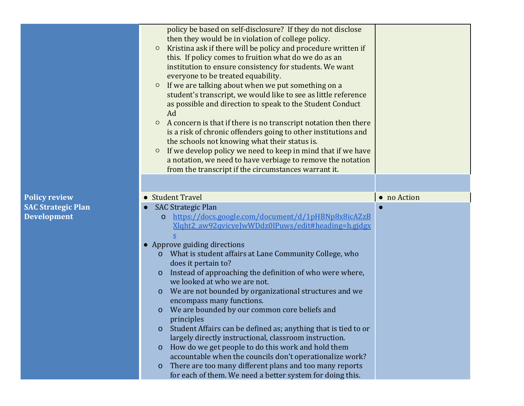|                           | policy be based on self-disclosure? If they do not disclose<br>then they would be in violation of college policy.<br>Kristina ask if there will be policy and procedure written if<br>$\circ$<br>this. If policy comes to fruition what do we do as an<br>institution to ensure consistency for students. We want<br>everyone to be treated equability.<br>If we are talking about when we put something on a<br>$\circ$<br>student's transcript, we would like to see as little reference<br>as possible and direction to speak to the Student Conduct<br>Ad<br>A concern is that if there is no transcript notation then there<br>$\circ$<br>is a risk of chronic offenders going to other institutions and<br>the schools not knowing what their status is.<br>If we develop policy we need to keep in mind that if we have<br>$\circ$<br>a notation, we need to have verbiage to remove the notation<br>from the transcript if the circumstances warrant it. |             |
|---------------------------|------------------------------------------------------------------------------------------------------------------------------------------------------------------------------------------------------------------------------------------------------------------------------------------------------------------------------------------------------------------------------------------------------------------------------------------------------------------------------------------------------------------------------------------------------------------------------------------------------------------------------------------------------------------------------------------------------------------------------------------------------------------------------------------------------------------------------------------------------------------------------------------------------------------------------------------------------------------|-------------|
|                           |                                                                                                                                                                                                                                                                                                                                                                                                                                                                                                                                                                                                                                                                                                                                                                                                                                                                                                                                                                  |             |
| <b>Policy review</b>      | • Student Travel                                                                                                                                                                                                                                                                                                                                                                                                                                                                                                                                                                                                                                                                                                                                                                                                                                                                                                                                                 | • no Action |
| <b>SAC Strategic Plan</b> | <b>SAC Strategic Plan</b>                                                                                                                                                                                                                                                                                                                                                                                                                                                                                                                                                                                                                                                                                                                                                                                                                                                                                                                                        |             |
| <b>Development</b>        | https://docs.google.com/document/d/1pHBNp8x8icAZzB<br>0<br>Xlght2 aw92qvicyeJwWDdz0lPuws/edit#heading=h.gjdgx                                                                                                                                                                                                                                                                                                                                                                                                                                                                                                                                                                                                                                                                                                                                                                                                                                                    |             |
|                           | • Approve guiding directions                                                                                                                                                                                                                                                                                                                                                                                                                                                                                                                                                                                                                                                                                                                                                                                                                                                                                                                                     |             |
|                           | What is student affairs at Lane Community College, who<br>$\mathbf{O}$<br>does it pertain to?                                                                                                                                                                                                                                                                                                                                                                                                                                                                                                                                                                                                                                                                                                                                                                                                                                                                    |             |
|                           | Instead of approaching the definition of who were where,<br>$\mathbf 0$<br>we looked at who we are not.                                                                                                                                                                                                                                                                                                                                                                                                                                                                                                                                                                                                                                                                                                                                                                                                                                                          |             |
|                           | We are not bounded by organizational structures and we<br>$\Omega$<br>encompass many functions.                                                                                                                                                                                                                                                                                                                                                                                                                                                                                                                                                                                                                                                                                                                                                                                                                                                                  |             |
|                           | We are bounded by our common core beliefs and<br>$\mathbf 0$                                                                                                                                                                                                                                                                                                                                                                                                                                                                                                                                                                                                                                                                                                                                                                                                                                                                                                     |             |
|                           | principles                                                                                                                                                                                                                                                                                                                                                                                                                                                                                                                                                                                                                                                                                                                                                                                                                                                                                                                                                       |             |
|                           | Student Affairs can be defined as; anything that is tied to or<br>$\Omega$<br>largely directly instructional, classroom instruction.                                                                                                                                                                                                                                                                                                                                                                                                                                                                                                                                                                                                                                                                                                                                                                                                                             |             |
|                           | How do we get people to do this work and hold them<br>$\mathbf 0$                                                                                                                                                                                                                                                                                                                                                                                                                                                                                                                                                                                                                                                                                                                                                                                                                                                                                                |             |
|                           | accountable when the councils don't operationalize work?                                                                                                                                                                                                                                                                                                                                                                                                                                                                                                                                                                                                                                                                                                                                                                                                                                                                                                         |             |
|                           | There are too many different plans and too many reports<br>$\mathbf{o}$<br>for each of them. We need a better system for doing this.                                                                                                                                                                                                                                                                                                                                                                                                                                                                                                                                                                                                                                                                                                                                                                                                                             |             |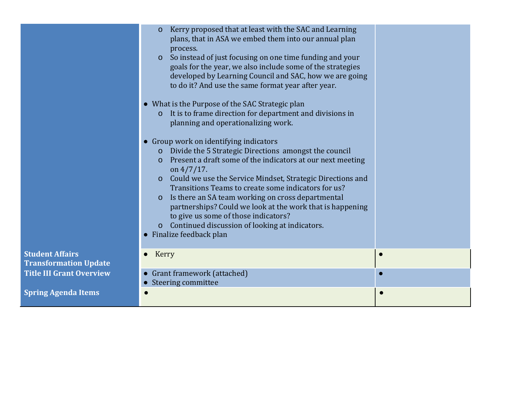|                                                        | Kerry proposed that at least with the SAC and Learning<br>$\Omega$<br>plans, that in ASA we embed them into our annual plan<br>process.<br>So instead of just focusing on one time funding and your<br>$\overline{O}$<br>goals for the year, we also include some of the strategies<br>developed by Learning Council and SAC, how we are going<br>to do it? And use the same format year after year.<br>• What is the Purpose of the SAC Strategic plan<br>It is to frame direction for department and divisions in<br>$\mathbf{O}$<br>planning and operationalizing work.<br>Group work on identifying indicators<br>Divide the 5 Strategic Directions amongst the council<br>$\mathbf{O}$<br>Present a draft some of the indicators at our next meeting<br>$\mathbf{O}$<br>on $4/7/17$ .<br>o Could we use the Service Mindset, Strategic Directions and<br>Transitions Teams to create some indicators for us?<br>Is there an SA team working on cross departmental<br>$\mathbf{O}$<br>partnerships? Could we look at the work that is happening<br>to give us some of those indicators?<br>o Continued discussion of looking at indicators.<br>• Finalize feedback plan |  |
|--------------------------------------------------------|-----------------------------------------------------------------------------------------------------------------------------------------------------------------------------------------------------------------------------------------------------------------------------------------------------------------------------------------------------------------------------------------------------------------------------------------------------------------------------------------------------------------------------------------------------------------------------------------------------------------------------------------------------------------------------------------------------------------------------------------------------------------------------------------------------------------------------------------------------------------------------------------------------------------------------------------------------------------------------------------------------------------------------------------------------------------------------------------------------------------------------------------------------------------------------|--|
| <b>Student Affairs</b><br><b>Transformation Update</b> | Kerry                                                                                                                                                                                                                                                                                                                                                                                                                                                                                                                                                                                                                                                                                                                                                                                                                                                                                                                                                                                                                                                                                                                                                                       |  |
| <b>Title III Grant Overview</b>                        | Grant framework (attached)<br>• Steering committee                                                                                                                                                                                                                                                                                                                                                                                                                                                                                                                                                                                                                                                                                                                                                                                                                                                                                                                                                                                                                                                                                                                          |  |
| <b>Spring Agenda Items</b>                             |                                                                                                                                                                                                                                                                                                                                                                                                                                                                                                                                                                                                                                                                                                                                                                                                                                                                                                                                                                                                                                                                                                                                                                             |  |